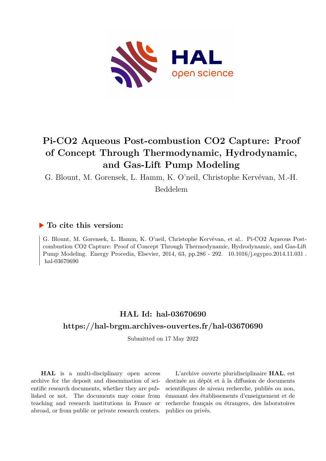

# **Pi-CO2 Aqueous Post-combustion CO2 Capture: Proof of Concept Through Thermodynamic, Hydrodynamic, and Gas-Lift Pump Modeling**

G. Blount, M. Gorensek, L. Hamm, K. O'neil, Christophe Kervévan, M.-H.

Beddelem

## **To cite this version:**

G. Blount, M. Gorensek, L. Hamm, K. O'neil, Christophe Kervévan, et al.. Pi-CO2 Aqueous Postcombustion CO2 Capture: Proof of Concept Through Thermodynamic, Hydrodynamic, and Gas-Lift Pump Modeling. Energy Procedia, Elsevier, 2014, 63, pp.286 - 292. 10.1016/j.egypro.2014.11.031. hal-03670690

## **HAL Id: hal-03670690 <https://hal-brgm.archives-ouvertes.fr/hal-03670690>**

Submitted on 17 May 2022

**HAL** is a multi-disciplinary open access archive for the deposit and dissemination of scientific research documents, whether they are published or not. The documents may come from teaching and research institutions in France or abroad, or from public or private research centers.

L'archive ouverte pluridisciplinaire **HAL**, est destinée au dépôt et à la diffusion de documents scientifiques de niveau recherche, publiés ou non, émanant des établissements d'enseignement et de recherche français ou étrangers, des laboratoires publics ou privés.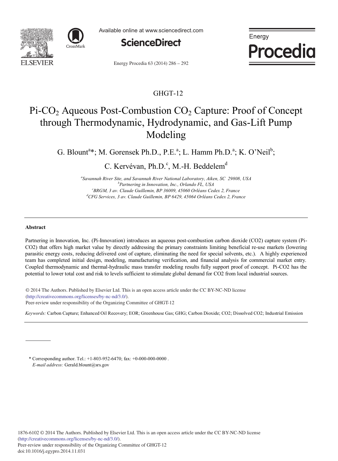



Available online at www.sciencedirect.com



Energy **Procedia** 

Energy Procedia 63 (2014) 286 - 292

## GHGT-12

# Pi-CO<sub>2</sub> Aqueous Post-Combustion CO<sub>2</sub> Capture: Proof of Concept through Thermodynamic, Hydrodynamic, and Gas-Lift Pump Modeling

G. Blount<sup>a</sup>\*; M. Gorensek Ph.D., P.E.<sup>a</sup>; L. Hamm Ph.D.<sup>a</sup>; K. O'Neil<sup>b</sup>;

C. Kervévan, Ph.D.<sup>c</sup>, M.-H. Beddelem<sup>d</sup>

*a Savannah River Site, and Savannah River National Laboratory, Aiken, SC 29808, USA b Partnering in Innovation, Inc., Orlando FL, USA* <sup>c</sup> BRGM, 3 av. Claude Guillemin, BP 36009, 45060 Orléans Cedex 2, France<br><sup>d</sup>CEC Semises, 3 av. Claude Cuillemin, BB 6420, 45064 Orléans Cedex 2, France *CFG Services, 3 av. Claude Guillemin, BP 6429, 45064 Orléans Cedex 2, France* 

#### **Abstract**

Partnering in Innovation, Inc. (Pi-Innovation) introduces an aqueous post-combustion carbon dioxide (CO2) capture system (Pi-CO2) that offers high market value by directly addressing the primary constraints limiting beneficial re-use markets (lowering parasitic energy costs, reducing delivered cost of capture, eliminating the need for special solvents, etc.). A highly experienced team has completed initial design, modeling, manufacturing verification, and financial analysis for commercial market entry. Coupled thermodynamic and thermal-hydraulic mass transfer modeling results fully support proof of concept. Pi-CO2 has the potential to lower total cost and risk to levels sufficient to stimulate global demand for CO2 from local industrial sources.

© 2013 The Authors. Published by Elsevier Ltd. (http://creativecommons.org/licenses/by-nc-nd/3.0/). (incp.//creativecommonistorg/neemsel/ey/network). © 2014 The Authors. Published by Elsevier Ltd. This is an open access article under the CC BY-NC-ND license

*Keywords:* Carbon Capture; Enhanced Oil Recovery; EOR; Greenhouse Gas; GHG; Carbon Dioxide; CO2; Dissolved CO2; Industrial Emission

\* Corresponding author. Tel.: +1-803-952-6470; fax: +0-000-000-0000 . *E-mail address:* Gerald.blount@srs.gov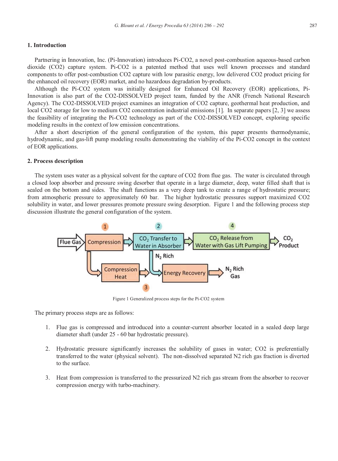#### **1. Introduction**

Partnering in Innovation, Inc. (Pi-Innovation) introduces Pi-CO2, a novel post-combustion aqueous-based carbon dioxide (CO2) capture system. Pi-CO2 is a patented method that uses well known processes and standard components to offer post-combustion CO2 capture with low parasitic energy, low delivered CO2 product pricing for the enhanced oil recovery (EOR) market, and no hazardous degradation by-products.

Although the Pi-CO2 system was initially designed for Enhanced Oil Recovery (EOR) applications, Pi-Innovation is also part of the CO2-DISSOLVED project team, funded by the ANR (French National Research Agency). The CO2-DISSOLVED project examines an integration of CO2 capture, geothermal heat production, and local CO2 storage for low to medium CO2 concentration industrial emissions [1]. In separate papers [2, 3] we assess the feasibility of integrating the Pi-CO2 technology as part of the CO2-DISSOLVED concept, exploring specific modeling results in the context of low emission concentrations.

After a short description of the general configuration of the system, this paper presents thermodynamic, hydrodynamic, and gas-lift pump modeling results demonstrating the viability of the Pi-CO2 concept in the context of EOR applications.

#### **2. Process description**

The system uses water as a physical solvent for the capture of CO2 from flue gas. The water is circulated through a closed loop absorber and pressure swing desorber that operate in a large diameter, deep, water filled shaft that is sealed on the bottom and sides. The shaft functions as a very deep tank to create a range of hydrostatic pressure; from atmospheric pressure to approximately 60 bar. The higher hydrostatic pressures support maximized CO2 solubility in water, and lower pressures promote pressure swing desorption. Figure 1 and the following process step discussion illustrate the general configuration of the system.



Figure 1 Generalized process steps for the Pi-CO2 system

The primary process steps are as follows:

- 1. Flue gas is compressed and introduced into a counter-current absorber located in a sealed deep large diameter shaft (under 25 - 60 bar hydrostatic pressure).
- 2. Hydrostatic pressure significantly increases the solubility of gases in water; CO2 is preferentially transferred to the water (physical solvent). The non-dissolved separated N2 rich gas fraction is diverted to the surface.
- 3. Heat from compression is transferred to the pressurized N2 rich gas stream from the absorber to recover compression energy with turbo-machinery.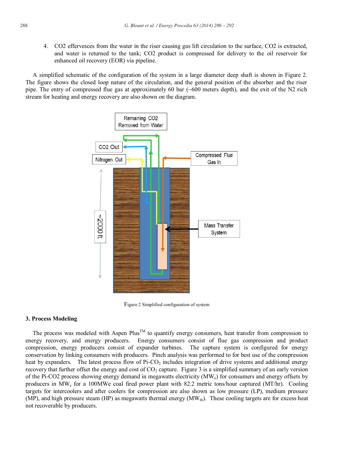4. CO2 effervesces from the water in the riser causing gas lift circulation to the surface, CO2 is extracted, and water is returned to the tank; CO2 product is compressed for delivery to the oil reservoir for enhanced oil recovery (EOR) via pipeline.

A simplified schematic of the configuration of the system in a large diameter deep shaft is shown in Figure 2. The figure shows the closed loop nature of the circulation, and the general position of the absorber and the riser pipe. The entry of compressed flue gas at approximately 60 bar (~600 meters depth), and the exit of the N2 rich stream for heating and energy recovery are also shown on the diagram.



Figure 2 Simplified configuration of system

#### **3. Process Modeling**

The process was modeled with Aspen  $Plus^{TM}$  to quantify energy consumers, heat transfer from compression to energy recovery, and energy producers. Energy consumers consist of flue gas compression and product compression, energy producers consist of expander turbines. The capture system is configured for energy conservation by linking consumers with producers. Pinch analysis was performed to for best use of the compression heat by expanders. The latest process flow of Pi-CO<sub>2</sub> includes integration of drive systems and additional energy recovery that further offset the energy and cost of  $CO<sub>2</sub>$  capture. Figure 3 is a simplified summary of an early version of the Pi-CO2 process showing energy demand in megawatts electricity (MWe) for consumers and energy offsets by producers in MWe for a 100MWe coal fired power plant with 82.2 metric tons/hour captured (MT/hr). Cooling targets for intercoolers and after coolers for compression are also shown as low pressure (LP), medium pressure (MP), and high pressure steam (HP) as megawatts thermal energy (MW<sub>th</sub>). These cooling targets are for excess heat not recoverable by producers.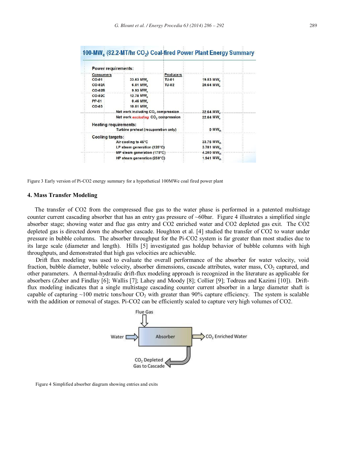| <b>Power requirements:</b>          |                                                       |              |                        |
|-------------------------------------|-------------------------------------------------------|--------------|------------------------|
| <b>Consumers</b>                    |                                                       | Producers    |                        |
| $CO-01$                             | 33.63 MW                                              | <b>TU-01</b> | 19.53 MW.              |
| <b>CO-02A</b>                       | 6.01 MW <sub>n</sub>                                  | <b>TU-02</b> | 20.64 MW               |
| <b>CO-02B</b>                       | 9.93 MW                                               |              |                        |
| <b>CO-02C</b>                       | 12.78 MW                                              |              |                        |
| <b>PP-01</b>                        | $0.46$ MW <sub><math>2</math></sub>                   |              |                        |
| $CO-03$                             | 10.01 MW                                              |              |                        |
|                                     | Net work including CO <sub>2</sub> compression.       |              | 32.64 MW               |
|                                     | Net work <i>excluding</i> CO <sub>2</sub> compression |              | 22.64 MW               |
| <b>Heating requirements:</b>        |                                                       |              |                        |
| Turbine preheat (recuperation only) |                                                       |              | $0$ MW <sub>th</sub>   |
| <b>Cooling targets:</b>             |                                                       |              |                        |
| Air cooling to 45°C                 |                                                       |              | 33.76 MW <sub>th</sub> |
| LP steam generation (125°C)         |                                                       |              | 3.781 MW.              |
| MP steam generation (175°C)         |                                                       |              | 4.200 MW <sub>th</sub> |
| HP steam generation (250°C)         |                                                       |              | 1.941 MW.              |

### 100-MW (82.2-MT/br. CO.) Coal-fired Power Plant Energy Summary

Figure 3 Early version of Pi-CO2 energy summary for a hypothetical 100MWe coal fired power plant

#### **4. Mass Transfer Modeling**

The transfer of CO2 from the compressed flue gas to the water phase is performed in a patented multistage counter current cascading absorber that has an entry gas pressure of ~60bar. Figure 4 illustrates a simplified single absorber stage; showing water and flue gas entry and CO2 enriched water and CO2 depleted gas exit. The CO2 depleted gas is directed down the absorber cascade. Houghton et al. [4] studied the transfer of CO2 to water under pressure in bubble columns. The absorber throughput for the Pi-CO2 system is far greater than most studies due to its large scale (diameter and length). Hills [5] investigated gas holdup behavior of bubble columns with high throughputs, and demonstrated that high gas velocities are achievable.

Drift flux modeling was used to evaluate the overall performance of the absorber for water velocity, void fraction, bubble diameter, bubble velocity, absorber dimensions, cascade attributes, water mass,  $CO<sub>2</sub>$  captured, and other parameters. A thermal-hydraulic drift-flux modeling approach is recognized in the literature as applicable for absorbers (Zuber and Findlay [6]; Wallis [7]; Lahey and Moody [8]; Collier [9]; Todreas and Kazimi [10]). Driftflux modeling indicates that a single multistage cascading counter current absorber in a large diameter shaft is capable of capturing  $\sim$ 100 metric tons/hour CO<sub>2</sub> with greater than 90% capture efficiency. The system is scalable with the addition or removal of stages. Pi-CO2 can be efficiently scaled to capture very high volumes of CO2.



Figure 4 Simplified absorber diagram showing entries and exits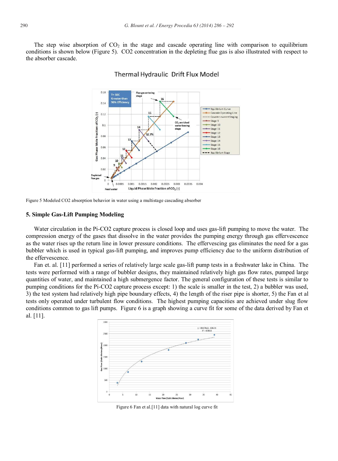The step wise absorption of  $CO<sub>2</sub>$  in the stage and cascade operating line with comparison to equilibrium conditions is shown below (Figure 5). CO2 concentration in the depleting flue gas is also illustrated with respect to the absorber cascade.



#### Thermal Hydraulic Drift Flux Model

Figure 5 Modeled CO2 absorption behavior in water using a multistage cascading absorber

#### **5. Simple Gas-Lift Pumping Modeling**

Water circulation in the Pi-CO2 capture process is closed loop and uses gas-lift pumping to move the water. The compression energy of the gases that dissolve in the water provides the pumping energy through gas effervescence as the water rises up the return line in lower pressure conditions. The effervescing gas eliminates the need for a gas bubbler which is used in typical gas-lift pumping, and improves pump efficiency due to the uniform distribution of the effervescence.

Fan et. al. [11] performed a series of relatively large scale gas-lift pump tests in a freshwater lake in China. The tests were performed with a range of bubbler designs, they maintained relatively high gas flow rates, pumped large quantities of water, and maintained a high submergence factor. The general configuration of these tests is similar to pumping conditions for the Pi-CO2 capture process except: 1) the scale is smaller in the test, 2) a bubbler was used, 3) the test system had relatively high pipe boundary effects, 4) the length of the riser pipe is shorter, 5) the Fan et al tests only operated under turbulent flow conditions. The highest pumping capacities are achieved under slug flow conditions common to gas lift pumps. Figure 6 is a graph showing a curve fit for some of the data derived by Fan et al. [11].



Figure 6 Fan et al.[11] data with natural log curve fit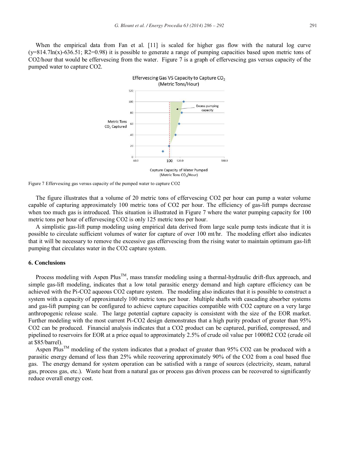When the empirical data from Fan et al. [11] is scaled for higher gas flow with the natural log curve  $(y=814.7\ln(x)-636.51; R2=0.98)$  it is possible to generate a range of pumping capacities based upon metric tons of CO2/hour that would be effervescing from the water. Figure 7 is a graph of effervescing gas versus capacity of the pumped water to capture CO2.



Figure 7 Effervescing gas versus capacity of the pumped water to capture CO2

The figure illustrates that a volume of 20 metric tons of effervescing CO2 per hour can pump a water volume capable of capturing approximately 100 metric tons of CO2 per hour. The efficiency of gas-lift pumps decrease when too much gas is introduced. This situation is illustrated in Figure 7 where the water pumping capacity for 100 metric tons per hour of effervescing CO2 is only 125 metric tons per hour.

A simplistic gas-lift pump modeling using empirical data derived from large scale pump tests indicate that it is possible to circulate sufficient volumes of water for capture of over 100 mt/hr. The modeling effort also indicates that it will be necessary to remove the excessive gas effervescing from the rising water to maintain optimum gas-lift pumping that circulates water in the CO2 capture system.

#### **6. Conclusions**

Process modeling with Aspen Plus<sup>TM</sup>, mass transfer modeling using a thermal-hydraulic drift-flux approach, and simple gas-lift modeling, indicates that a low total parasitic energy demand and high capture efficiency can be achieved with the Pi-CO2 aqueous CO2 capture system. The modeling also indicates that it is possible to construct a system with a capacity of approximately 100 metric tons per hour. Multiple shafts with cascading absorber systems and gas-lift pumping can be configured to achieve capture capacities compatible with CO2 capture on a very large anthropogenic release scale. The large potential capture capacity is consistent with the size of the EOR market. Further modeling with the most current Pi-CO2 design demonstrates that a high purity product of greater than 95% CO2 can be produced. Financial analysis indicates that a CO2 product can be captured, purified, compressed, and pipelined to reservoirs for EOR at a price equal to approximately 2.5% of crude oil value per 1000ft2 CO2 (crude oil at \$85/barrel).

Aspen Plus<sup>TM</sup> modeling of the system indicates that a product of greater than 95% CO2 can be produced with a parasitic energy demand of less than 25% while recovering approximately 90% of the CO2 from a coal based flue gas. The energy demand for system operation can be satisfied with a range of sources (electricity, steam, natural gas, process gas, etc.). Waste heat from a natural gas or process gas driven process can be recovered to significantly reduce overall energy cost.